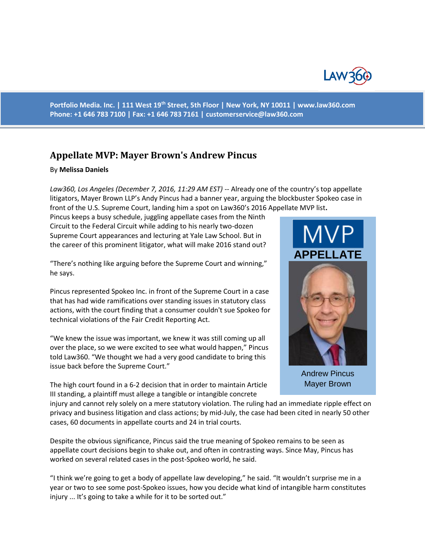

**Portfolio Media. Inc. | 111 West 19th Street, 5th Floor | New York, NY 10011 | www.law360.com Phone: +1 646 783 7100 | Fax: +1 646 783 7161 | [customerservice@law360.com](mailto:customerservice@law360.com)**

## **Appellate MVP: Mayer Brown's Andrew Pincus**

## By **Melissa Daniels**

*Law360, Los Angeles (December 7, 2016, 11:29 AM EST)* -- Already one of the country's top appellate litigators, Mayer Brown LLP's Andy Pincus had a banner year, arguing the blockbuster Spokeo case in front of the U.S. Supreme Court, landing him a spot on Law360's 2016 Appellate MVP list**.**

Pincus keeps a busy schedule, juggling appellate cases from the Ninth Circuit to the Federal Circuit while adding to his nearly two-dozen Supreme Court appearances and lecturing at Yale Law School. But in the career of this prominent litigator, what will make 2016 stand out?

"There's nothing like arguing before the Supreme Court and winning," he says.

Pincus represented Spokeo Inc. in front of the Supreme Court in a case that has had wide ramifications over standing issues in statutory class actions, with the court finding that a consumer couldn't sue Spokeo for technical violations of the Fair Credit Reporting Act.

"We knew the issue was important, we knew it was still coming up all over the place, so we were excited to see what would happen," Pincus told Law360. "We thought we had a very good candidate to bring this issue back before the Supreme Court."

The high court found in a 6-2 decision that in order to maintain Article III standing, a plaintiff must allege a tangible or intangible concrete



Andrew Pincus Mayer Brown

injury and cannot rely solely on a mere statutory violation. The ruling had an immediate ripple effect on privacy and business litigation and class actions; by mid-July, the case had been cited in nearly 50 other cases, 60 documents in appellate courts and 24 in trial courts.

Despite the obvious significance, Pincus said the true meaning of Spokeo remains to be seen as appellate court decisions begin to shake out, and often in contrasting ways. Since May, Pincus has worked on several related cases in the post-Spokeo world, he said.

"I think we're going to get a body of appellate law developing," he said. "It wouldn't surprise me in a year or two to see some post-Spokeo issues, how you decide what kind of intangible harm constitutes injury ... It's going to take a while for it to be sorted out."